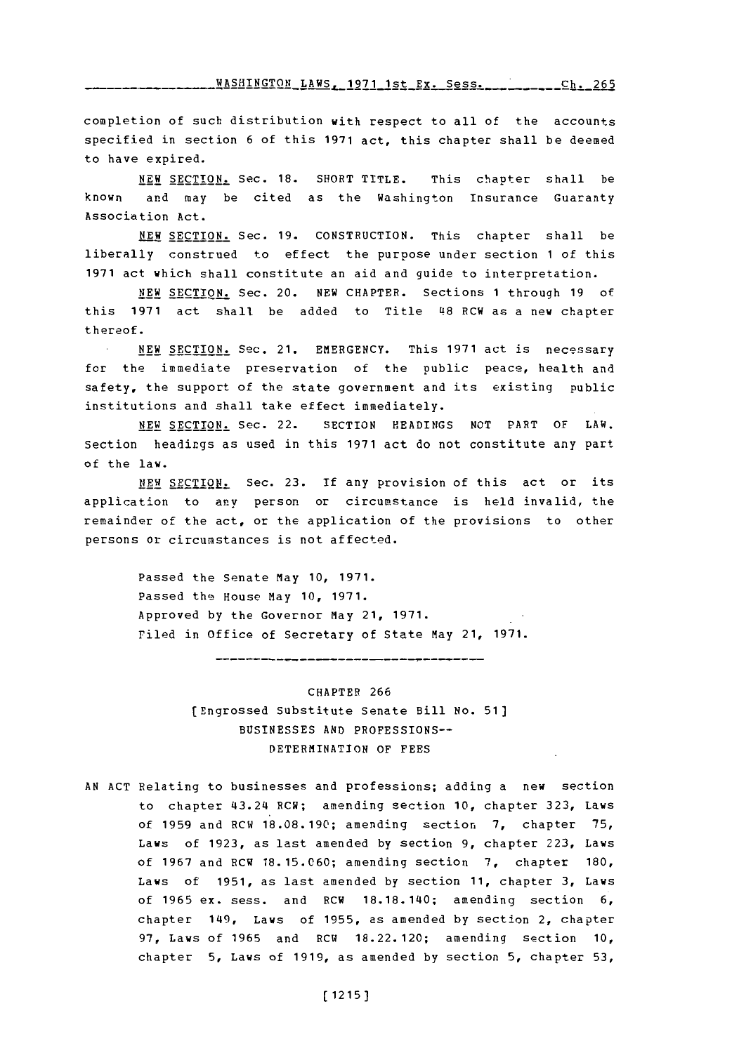<u>**FASHINGTON\_LAWS, 1971\_1st\_Ex. Sess.\_\_\_\_\_\_\_\_\_\_Ch. 265**</u>

completion of such distribution with respect to all of the accounts specified in section **6** of this **1971** act, this chapter shall be deemed to have expired.

**NEW SECTION, Sec. 18. SHORT TITLE. This chapter shall be** known and may be cited as the Washington Insurance Guaranty Association Act.

**NEW SECTION.** Sec. **19.** CONSTRUCTION. This chapter shall be liberally construed to effect the purpose under section **1** of this **1971** act which shall constitute an aid and guide to interpretation.

**NEW SECTION.** Sec. 20. **NEW** CHAPTER. Sections **1** through **19** of this 1971 act shall be added to Title 48 RCW as a new chapter thereof.

**NEW SECTION.** Sec. 21. EMERGENCY. This **1971** act is necessary for the immediate preservation of the public peace, health and safety, the support of the state government and its existing public institutions and shall take effect immediately.

**NEW SECTION.** Sec. 22. SECTION HEADINGS **NOT** PART OF LAW. Section headings as used in this **1971** act do not constitute any part of the law.

NEW SECTION: Sec. 23. If any provision of this act or its application to any person or circumstance is held invalid, the remainder of the act, or the application of the provisions to other persons or circumstances is not affected.

> Passed the Senate May **10, 1971.** Passed the House May **10, 1971.** Approved **by** the Governor May 21, **1971.** riled in office of Secretary of State May 21, **1971.**

CHAPTER **266** (Engrossed Substitute Senate Bill **No. 51] BUSINESSES AND** PROFESSIONS-DETERMINATION OF **FEES**

**AN ACT** Relating to businesses and professions; adding a new section to chapter 413.214 RCW; amending section **10,** chapter **323,** Laws of **1959** and RC14 **18.08.190;** amending section **7,** chapter **75,** Laws of **1923,** as last amended **by** section **9,** chapter **223,** Laws of **1967** and RCW **18. 15.060;** amending section **7,** chapter **180,** Laws of **1951,** as last amended **by** section **11,** chapter **3,** Laws of **1965** ex. sess. and RCW **18.18.1140;** amending section **6,** chapter 1149, Laws of **1955,** as amended **by** section 2, chapter **97,** Laws of **1965** and RCW **18.22.120;** amending section **10,** chapter **5,** Laws of **1919,** as amended **by** section **5,** chapter **53,**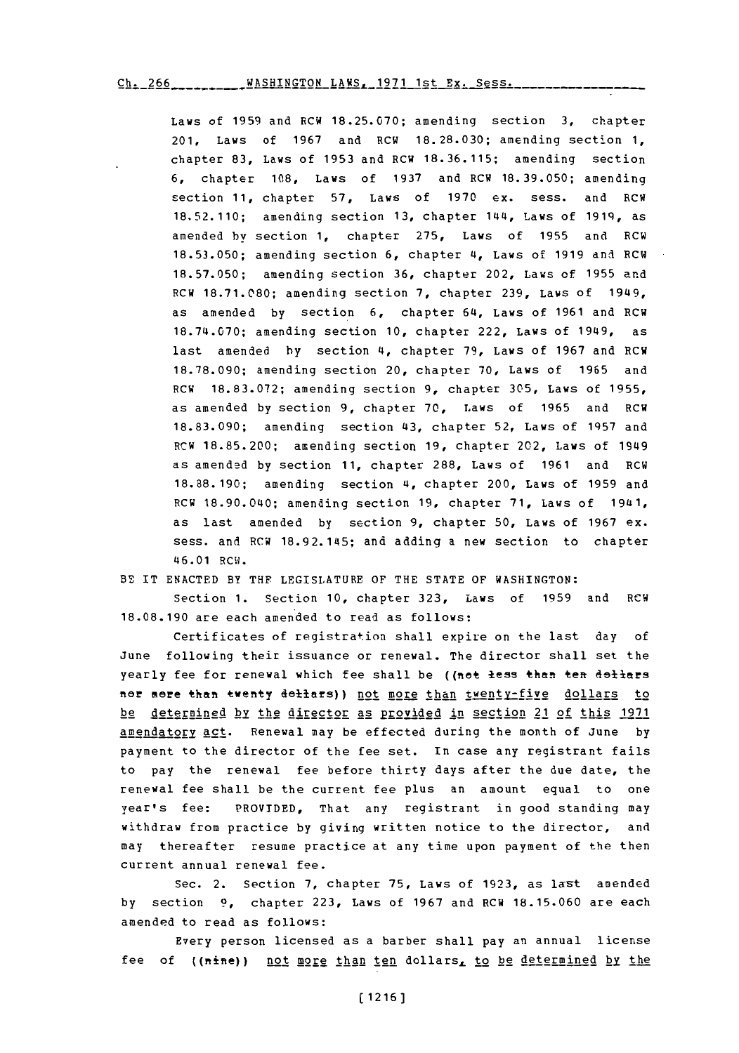Ch. 266\_\_\_\_\_\_\_\_\_\_WASHINGTON LAWS, 1971 1st Ex. Sess.

Laws of **1959** and RCW **18.25.070;** amending section **3,** chapter 201, Laws of **1967** and RCW **18.28.030;** amending section **1,** chapter **83,** Laws of **1953** and RCW **18.36.115;** amending section **6,** chapter **108,** Laws of **1937** and RCW **18.39.050;** amending section **11,** chapter **57,** Laws of **1970** ex. sess. and RCW **18.52.110;** amending section **13,** chapter 144, Laws of **1919,** as amended by section **1,** chapter **275,** Laws of **1955** and RCW **18.53.050;** amending section **6,** chapter **4,** Laws of **1919** ani RCW **18.57.050;** amending section **36,** chapter 202, Laws **Of 1955** and RCW **18.71.080;** amending section **7,** chapter **239,** Laws of 1949, as amended **by** section **6,** chapter 64, Laws of **1961** and RCW **18.74.070;** amending section **10,** chapter 222, Laws of 1949, as last amended **by** section 4, chapter **79,** Laws of **1967** and RCW **18.78.090;** amending section 20, chapter **70,** Laws of **1965** and RCW **18.83.072;** amending section **9,** chapter **305,** Laws of **1955,** as amended **by** section **9,** chapter **70,** Laws of **1965** and RGW **18.83.090;** amending section 43, chapter **52,** Laws of **1957** and RGW **18.85.200;** amending section **19,** chapter 202, Laws of 1949 as amended **by** section **11,** chapter **288,** Laws of **1961** and RCW **18.88.190;** amending section 4, chapter 200, Laws **of 1959** and RCW 18.90.040; amending section **19,** chapter **71,** Laws of 1941, as last amended **by** section **9,** chapter **50,** Laws of **1967** ex. sess. and RGW **18.92.145;** and adding a new section to chapter 46.01 RGW.

BE IT **ENACTED** BY THF LEGISLATURE OF THE **STATE** OF **WASHINGTON:**

Section **1.** section **10,** chapter **323,** Laws of **1959** and RGW **18.08.190** are each amended to read as follows:

certificates of registration shall expire on the last day of June following their issuance or renewal. The director shall set the yearly fee for renewal which fee shall be ((not less than ten dollars nor mere than twenty dellars)) not more than twenty-five dollars to be determined by the director as provided in section 21 of this **1971** amendatory act. Renewal may be effected during the month of June **by** payment to the director of the fee set. In case any registrant fails to pay the renewal fee before thirty days after the due date, the renewal fee shall be the current fee plus an amount equal to one year's fee: PROVIDED, That any registrant in good standing may withdraw from practice **by** giving written notice to the director, and may thereafter resume practice at any time upon payment of the then current annual renewal fee.

Sec. 2. Section **7,** chapter **75,** Laws of **1923,** as last amended **by** section **9,** chapter **223,** Laws of **1967** and **RCW 18.15.060** are each amended to read as follows:

Every person licensed as a barber shall pay an annual license fee of ((nine)) not more than ten dollars, to be determined by the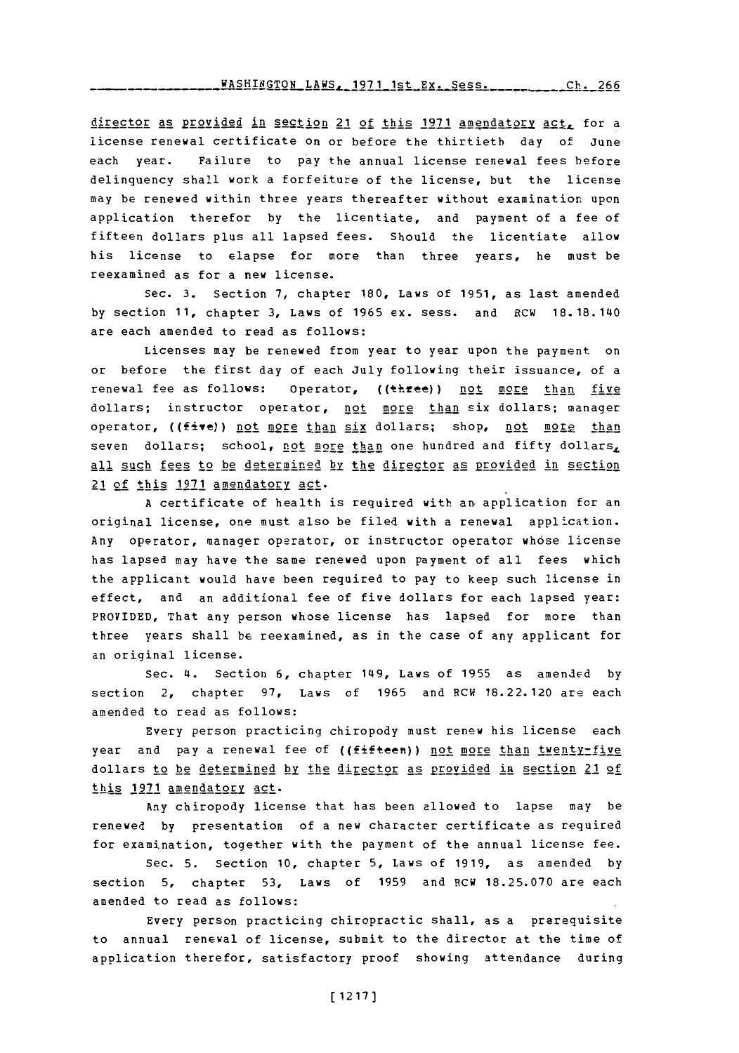director as provided in section 21 of this 1971 amendatory act, for a license renewal certificate on or before the thirtieth day of June each year. Failure to pay the annual license renewal fees before delinquency shall work a forfeiture of the license, but the license may he renewed within three years thereafter without examination upon application therefor **by** the licentiate, and payment of a fee of fifteen dollars plus all lapsed fees. Should the licentiate allow his license to elapse for more than three years, he must be reexamined as for a new license.

Sec. **3.** Section **7,** chapter **180,** Laws of **1951,** as last amended **by** section **11,** chapter **3,** Laws of **1965** ex. sess. and RGW 18.18.140 are each amended to read as follows:

Licenses may be renewed from year to year upon the payment on or before the first day of each July following their issuance, of a renewal fee as follows: Operator, ((three)) not more than five dollars; instructor operator, not more than six dollars; manager operator, ((five)) not more than six dollars; shop, not more than seven dollars; school, not more than one hundred and fifty dollars, all such fees to be determined **by** the director as provided in section 21 of this **.1971** amendatory act.

A certificate of health is required with an application for an original license, one must also be filed with a renewal application. Any operator, manager operator, or instructor operator whose license has lapsed may have the same renewed upon payment of all fees which the applicant would have been required to pay to keep such license in effect, and an additional fee of five dollars for each lapsed year: PROVIDED, That any person whose license has lapsed for more than three years shall be reexamined, as in the case of any applicant for an original license.

Sec. 4. Section **6,** chapter 149, Laws of **1955** as amended **by** section 2, chapter **97,** Laws of **1965** and RCW 18.22.120 are each amended to read as follows:

Every person practicing chiropody must renew his license each year and pay a renewal fee of ((fifteen)) not more than twenty-five dollars to be determined **by** the djirector as provided in section 21 of this 1971 amendatory act.

Any chiropody license that has been allowed to lapse may be renewed **by** presentation of a new character certificate as required for examination, together with the payment of the annual license fee.

Sec. **5.** Section **10,** chapter **5,** Laws of **1919,** as amended **by** section **5,** chapter **53,** Laws of **1959** and **RCW 18.25.070** are each amended to read as follows:

Every person practicing chiropractic shall, as a prerequisite to annual renewal of license, submit to the director at the time of application therefor, satisfactory proof showing attendance during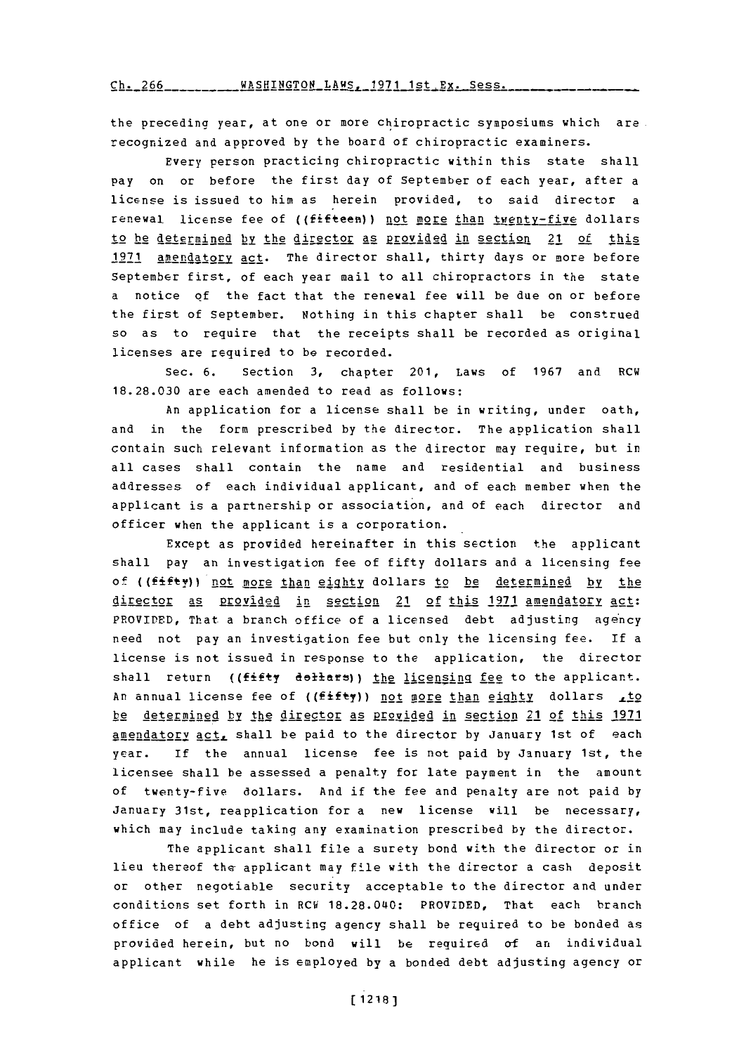$\frac{\text{ch. 266}}{\text{L. 266}}$ 

the preceding year, at one or more chiropractic symposiums which are recognized and approved **by** the board of chiropractic examiners.

Every person practicing chiropractic within this state shall pay on or before the first day of September of each year, after a license is issued to him as herein provided, to said director a renewal license fee of ((fifteen)) not more than twenty-five dollars to he determined by the director as provided in section 21 of this 1971 amendatory act. The director shall, thirty days or more before September first, of each year mail to all chiropractors in the state a notice of the fact that the renewal fee will be due on or before the first of September. Nothing in this chapter shall be construed so as to require that the receipts shall be recorded as original licenses are required to be recorded.

Sec. **6.** Section **3,** chapter 201, Laws of **1967** and RCW **18.28.030** are each amended to read as follows:

An application for a license shall he in writing, under oath, and in the form prescribed **by** the director. The application shall contain such relevant information as the director may require, but in all cases shall contain the name and residential and business addresses of each individual applicant, and of each member when the applicant is a partnership or association, and of each director and officer when the applicant is a corporation.

Except as provided hereinafter in this section the applicant shall pay an investigation fee of fifty dollars and a licensing fee **Of ((fifty))** not more than eighty dollars to be determined by the director as provided in section 21 of this 1971 amendatory act: PROVIDED, That a branch office of a licensed debt adjusting agency need not pay an investigation fee but only the licensing fee. **if** a license is not issued in response to the application, the director shall return ((fifty dollars)) the licensing fee to the applicant. An annual license fee of ((fifty)) not more than eighty dollars *.to* be determined by the director as Provided in section 21 of this **1971** amendatory act, shall be paid to the director by January 1st of each year. **If** the annual license fee is not paid **by** January 1st, the licensee shall be assessed a penalty for late payment in the amount of twenty-five dollars. And if the fee and penalty are not paid **by** January 31st, reapplication for a new license will be necessary, which may include taking any examination prescribed **by** the director.

The applicant shall file a surety bond with the director or in lieu thereof the applicant may file with the director a cash deposit or other negotiable security acceptable to the director and under conditions set forth in RCW **18.28.040:** PROVIDED, That each branch office of a debt adjusting agency shall be required to be bonded as provided herein, but no bond will be required of an individual applicant while he is employed **by** a bonded debt adjusting agency or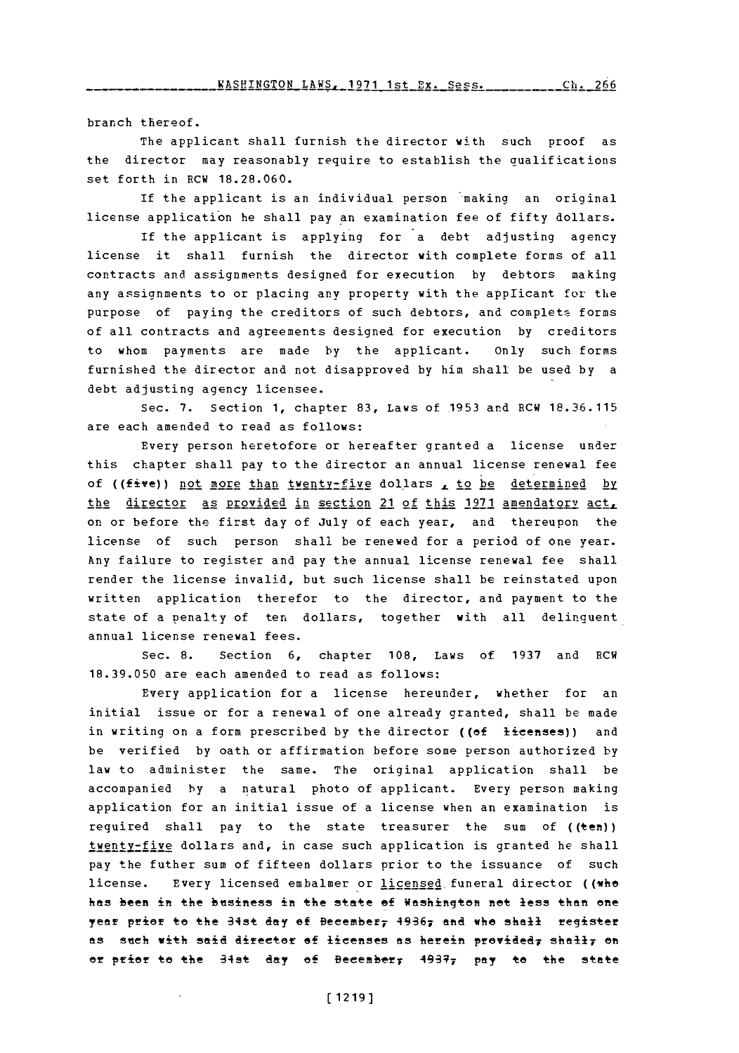branch thereof.

The applicant shall furnish the director with such proof as the director may reasonably require to establish the qualifications set forth in RCW **18.28.060.**

If the applicant is an individual person making an original license application he shall pay an examination fee of fifty dollars.

If the applicant is applying for a debt adjusting agency license it shall furnish the director with complete forms of all contracts and assignments designed for execution **by** debtors making any assignments to or placing any property with the applicant for the purpose of paying the creditors of such debtors, and complete forms of all contracts and agreements designed for execution **by** creditors to whom payments are made **by** the applicant. only such forms furnished the director and not disapproved **by** him shall be used **by** a debt adjusting agency licensee.

Sec. **7.** Section **1,** chapter **83,** Laws of **1953** and RCW **18.36.115** are each amended to read as follows:

Every person heretofore or hereafter granted a license under this chapter shall pay to the director an annual license renewal fee of ((five)) not more than twenty-five dollars , to be determined by the director as provided in section 21 of this 1971 amendatory act. on or before the first day of July of each year, and thereupon the license of such person shall be renewed for a period of one year. Any failure to register and pay the annual license renewal fee shall render the license invalid, but such license shall be reinstated upon written application therefor to the director, and payment to the state of a penalty of ten dollars, together with all delinguent annual license renewal fees.

sec. **8.** Section **6,** chapter **108,** Laws of **1937** and RCW **18.39.050** are each amended to read as follows:

Every application for a license hereunder, whether for an initial issue or for a renewal of one already granted, shall be made in writing on a form prescribed **by** the director ((ef licenses)) and be verified **by** oath or affirmation before some person authorized **by** law to administer the same. The original application shall be accompanied **by** a natural photo of applicant. Every person making application for an initial issue of a license when an examination is required shall pay to the state treasurer the sum of ((ten)) twenty-five dollars and, in case such application is granted he shall pay the futher sum of fifteen dollars prior to the issuance of such license. Every licensed embalmer or licensed funeral director ((whe hes **been** in **the btiiess in t.he state** Of Waeshigo **~etm less then one** yea prior to **the -34st day of Beeember7 49367 and whe shall** regster **ftS** Sdeh With Said director **f** icenese **as** herein PrOY±AC47 **ShftI17** on **or** prior to the 84st **day** Of Beeeinber 41937 **pay** to the staee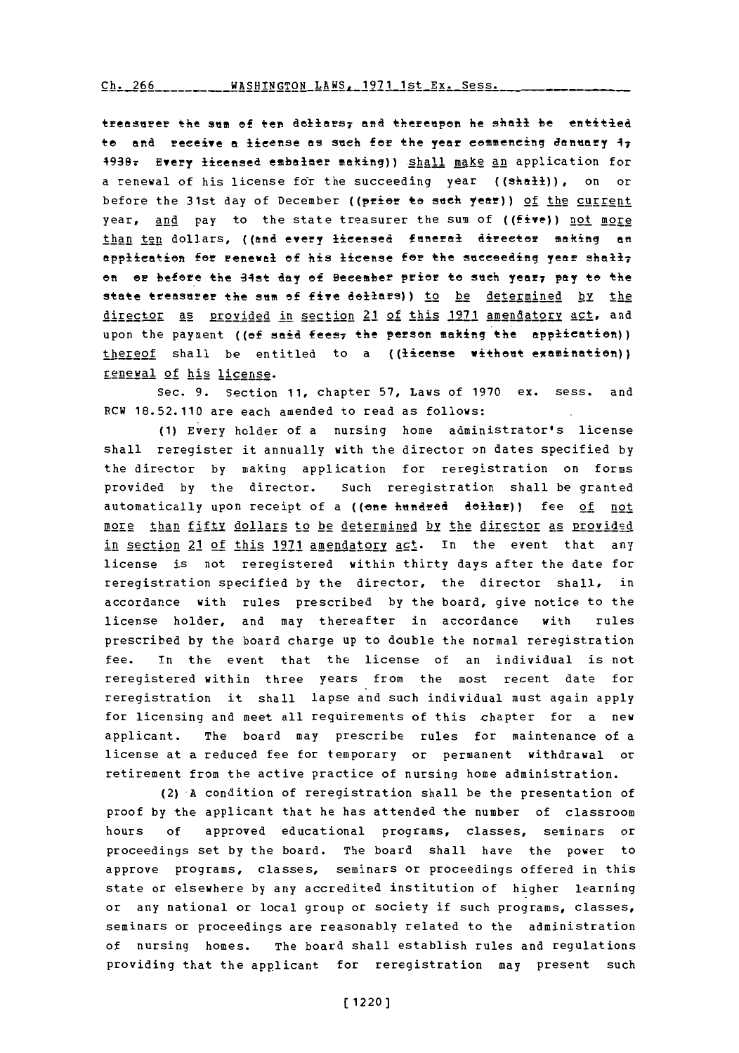## Ch. 266 WASHINGTON LAWS, 1971 1st Ex. Sess.

treasurer the sum of ten dollars<sub>7</sub> and thereupon he shall be entitled to and receive a license as such for the year commencing danuary 47 49387 Every licensed emnbalmer making)) **§liall** make an application for a renewal of his license for the succeeding year ((shall)), on or before the 31st day of December ((prior to such year)) of the current year, and pay to the state treasurer the sum of ((five)) not more than ten dollars, ((and every licensed funeral director making an application for renewal of his license for the succeeding year shall; **en** or before the 34st day of Becember prior to such year, pay to the state treasurer the sum of five dollars)) to be determined by the director as provided in section 21 of this **1971** amendatory act, and upon the payment ((of said fees<sub>7</sub> the person making the application)) thereof shall be entitled to a ((license without examination)) renewal of his license.

Sec. **9.** Section **11,** chapter **57,** Laws of **1970** ex. sess. and RCW **18.52.110** are each amended to read as follows:

**(1)** Every holder of a nursing home administrator's license shall reregister it annually with the director on dates specified **by** the director **by** making application for reregistration on forms provided **by** the director. Such reregistration shall be granted automatically upon receipt of a ((one hundred dollar)) fee of not more than fifty dollars to be determined by the director as provided in section 21 of this 1971 amendatory act. In the event that any license is not reregistered within thirty days after the date for reregistration specified **by** the director, the director shall, in accordance with rules prescribed **by** the board, give notice to the license holder, and may thereafter in accordance with rules prescribed **by** the board charge up to double the normal reregistration fee. In the event that the license of an individual is not reregistered within three years from the most recent date for reregistration it shall lapse and such individual must again apply for licensing and meet all requirements of this chapter for a new applicant. The board may prescribe rules for maintenance of a license at a reduced fee for temporary or permanent withdrawal or retirement from the active practice of nursing home administration.

**(2)-A** condition of reregistration shall be the presentation of proof **by** the applicant that he has attended the number of classroom hours **of** approved educational programs, classes, seminars or proceedings set **by** the board. The board shall have the power to approve programs, classes, seminars or proceedings offered in this state or elsewhere **by** any accredited institution of higher learning or any national or local group or society if such programs, classes, seminars or proceedings are reasonably related to the administration of nursing homes. The board shall establish rules and regulations providing that the applicant for reregistration may present such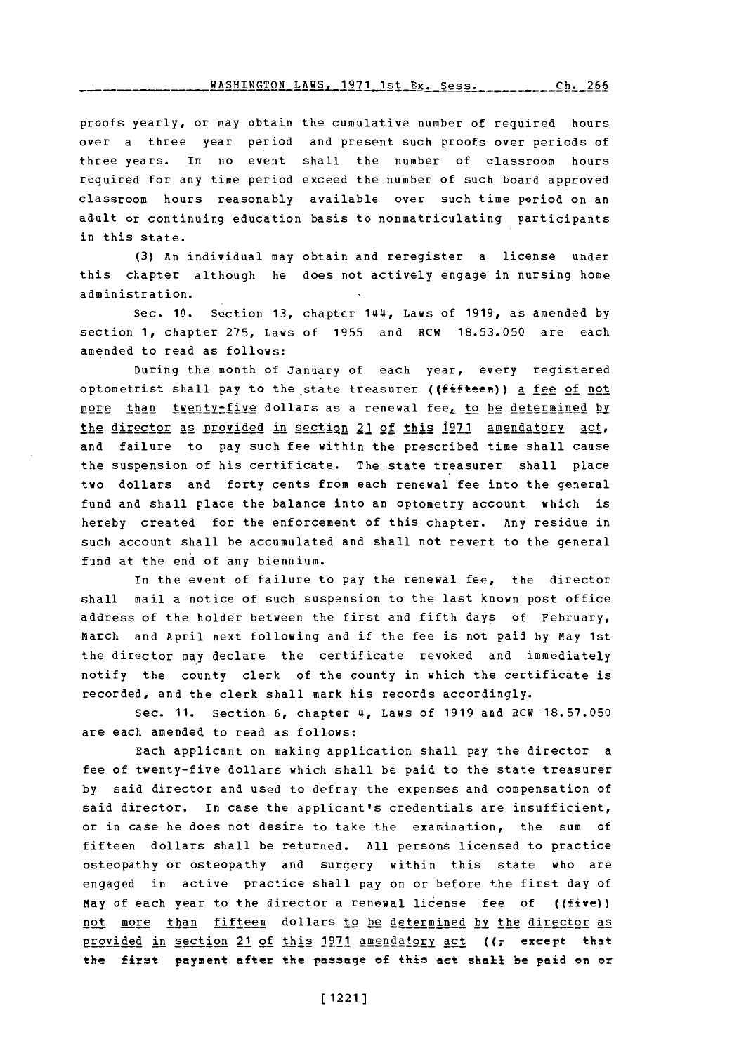## **-A-----O L--S -- 971 1--** x s.ch 6 **WASHINGTON** LAWS, **1971** 1st Ex. Sess. **Ch. 266**

proofs yearly, or may obtain the cumulative number of required hours over a three year period and present such proofs over periods of three years. In no event shall the number of classroom hours required for any time period exceed the number of such board approved classroom hours reasonably available over such time period on an adult or continuing education basis to nonmatriculating participants in this state.

**(3)** An individual may obtain and reregister a license under this chapter although he does not actively engage in nursing home administration.

Sec. **10.** Section **13, chapter 144, Laws of 1919, as amended by** section **1,** chapter **275,** Laws of **1955** and RCW **18.53.050** are each amended to read as follows:

During the month of January of each year, every registered optometrist shall pay to the state treasurer ((fifteen)) a fee of not nore than tyenty-five dollars as a renewal fee, to be determined by the director as provided in section 21 of this **1971** amendatory act, and failure to pay such fee within the prescribed time shall cause the suspension of his certificate. The state treasurer shall place two dollars and forty cents from each renewal fee into the general fund and shall place the balance into an optometry account which is hereby created for the enforcement of this chapter. Any residue in such account shall be accumulated and shall not revert to the general fund at the end of any biennium.

In the event of failure to pay the renewal fee, the director shall mail a notice of such suspension to the last known post office address of the holder between the first and fifth days **of** February, March and April next following and if the fee is not paid **by** May 1st the director may declare the certificate revoked and immediately notify the county clerk of the county in which the certificate is recorded, and the clerk shall mark his records accordingly.

Sec. **11.** Section **6,** chapter **4~,** Laws of **1919** and RCW **18.57.050** are each amended to read as follows:

Each applicant on making application shall pay the director a fee of twenty-five dollars which shall be paid to the state treasurer **by** said director and used to defray the expenses and compensation of said director. In case the applicant's credentials are insufficient, or in case he does not desire to take the examination, the sum of fifteen dollars shall be returned. **All** persons licensed to practice osteopathy or osteopathy and surgery within this state who are engaged in active practice shall pay on or before the first day of May of each year to the director a renewal license fee of ((five)) not more than fifteen dollars to be determined by the director as provided in section 21 of this 1971 amendatory act ((7 except that the first payment after the passage of this act shall be paid on or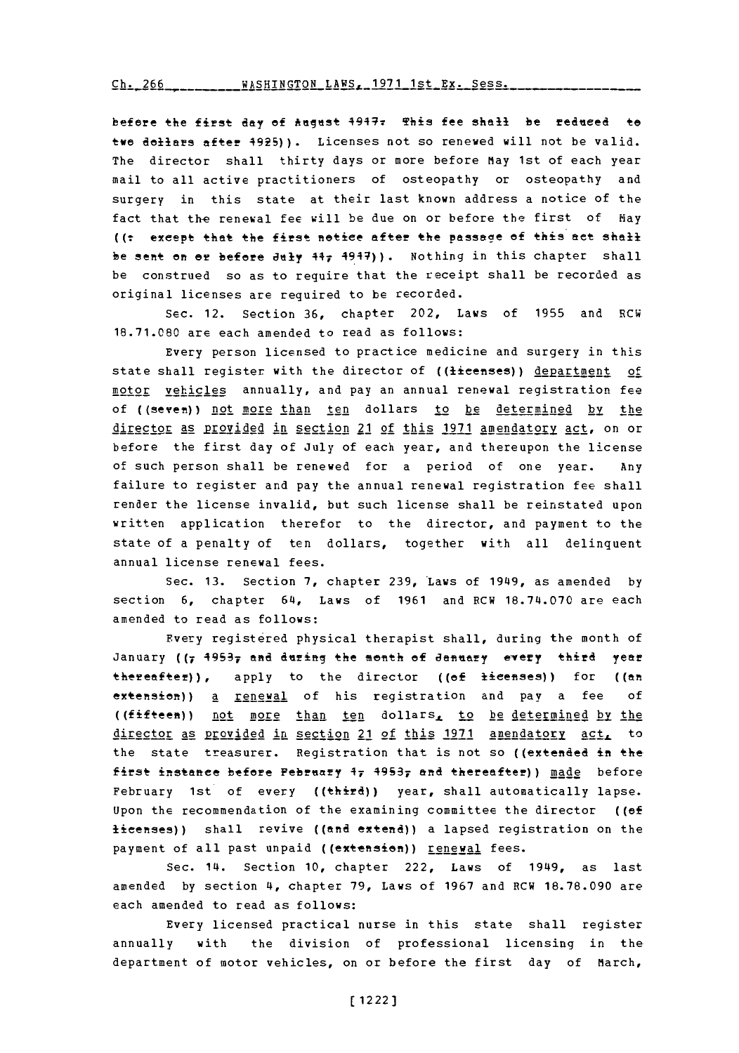Ch. 266 WASHINGTON LAWS, 1971 1st Ex. Sess.

before the first day of August 4947<del>.</del> This fee shall be reduced to twe dollars after 4925)). Licenses not so renewed will not be valid. The director shall thirty days or more before May 1st of each year mail to all active practitioners of osteopathy or osteopathy and surgery in this state at their last known address a notice of the fact that the renewal fee will be due on or before the first of Hav ((t except that the first notice after the passage of this act shall be sent on or before July 44, 4947)). Nothing in this chapter shall be construed so as to require that the receipt shall be recorded as original licenses are required to be recorded.

Sec. 12. Section **36,** chapter 202, Laws of **1955** and RCW **18.71.080** are each amended to read as follows:

Every person licensed to practice medicine and surgery in this state shall register with the director of ((licenses)) department of motor vehicles annually, and pay an annual renewal registration fee of ((seven)) not more than ten dollars to be determined by the director as provided in section 21 of this **1971** am endatory act, on or before the first day of July of each year, and thereupon the license of such person shall be renewed for a period of one year. Any failure to register and pay the annual renewal registration fee shall render the license invalid, but such license shall be reinstated upon written application therefor to the director, and payment to the state of a penalty of ten dollars, together with all delinquent annual license renewal fees.

Sec. **13.** Section **7,** chapter 239,'Laws of 19149, as amended **by** section **6,** chapter 614, Laws of **1961** and RCW **18.714.070** are each amended to read as follows:

Every registered physical therapist shall, during the month of January ((7 49537 and during the month of January every third year thereafter)), apply to the director ((of licenses)) for ((an extension)) a **renewal** of his registration and pay a fee of ((fifteen)) not more than ten dollars, to be determined by the director as provided in section 21 of this 1971 amendatory act, to the state treasurer. Registration that is not so ((extended in the first instance before February 1, 4953, and thereafter)) made before February 1st of every ((third)) year, shall automatically lapse. upon the recommendation of the examining committee the director ((ef licenses)) shall revive ((and extend)) a lapsed registration on the payment of all past unpaid ((extension)) renewal fees.

Sec. 114. Section **10,** chapter 222, Laws of 19149, as last amended **by** section **4,** chapter **79,** Laws of **1967** and RCW **18.78.090** are each amended to read as follows:

Every licensed practical nurse in this state shall register annually with the division of professional licensing in the department of motor vehicles, on or before the first day of March,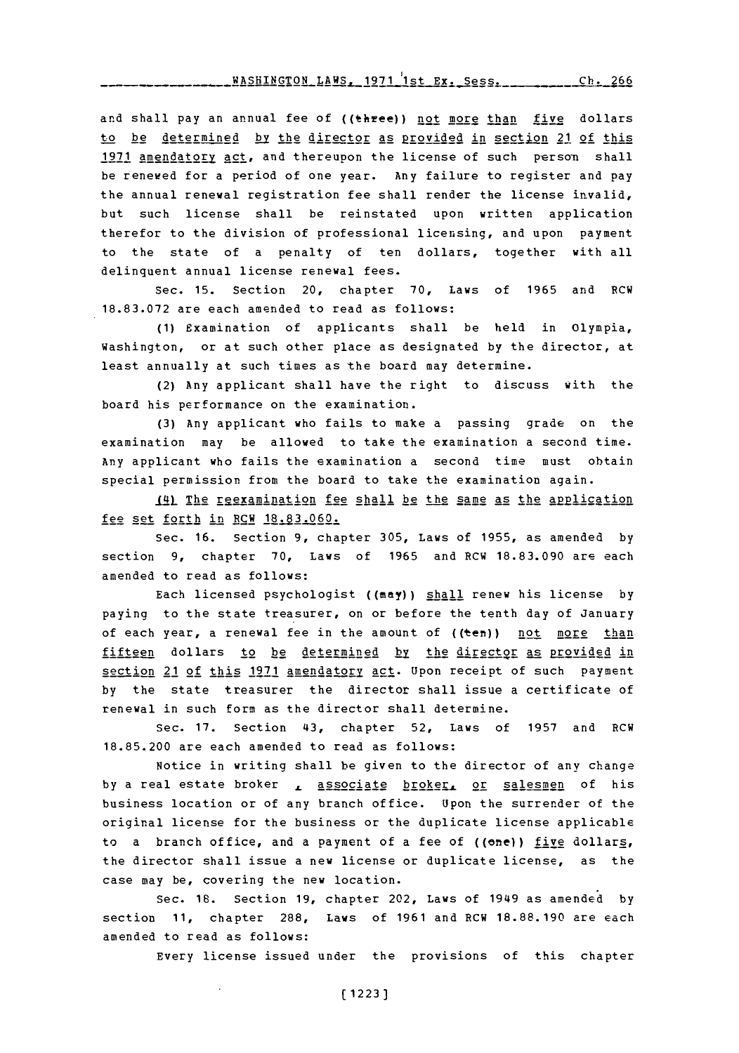**!a7tCUTldrrflM t AtJC ~O7i 1-.4.** r~ c-..-~- **-UTM ^. YAU 17,** 4 **<sup>1</sup>** st Dx. sess. **I .** 4-

and shall pay an annual fee of ((three)) not more than five dollars to be determined by the director as provided in section 21 of this 1971 amendatory act, and thereupon the license of such person shall he renewed for a period of one year. Any failure to register and pay the annual renewal registration fee shall render the license invalid, but such license shall be reinstated upon written application therefor to the division of professional licensing, and upon payment to the state of a penalty of ten dollars, together with all delinquent annual license renewal fees.

Sec. **15.** Section 20, chapter **70,** Laws of **1965** and RCW **18.83.072** are each amended to read as follows:

**(1)** Examination of applicants shall be held in Olympia, Washington, or at such other place as designated **by** the director, at least annually at such times as the board may determine.

(2) Any applicant shall have the right to discuss with the board his performance on the examination.

**(3)** Any applicant who fails to make a passing grade on the examination may be allowed to take the examination a second time. Any applicant who fails the examination a second time must obtain special permission from the board to take the examination again.

\_L4) ThE rj~exArination fee shall be the same as the application fee set forth in RCW **18.83.060.**

Sec. **16.** Section **9,** chapter **305,** Laws of **1955,** as amended **by** section **9,** chapter **70,** Laws of **1965** and RCW **18.83.090** are each amended to read as follows:

Each licensed psychologist **((may))** shall renew his license **by** paying to the state treasurer, on or before the tenth day of January of each year, a renewal fee in the amount of ((ten)) not more than fifteen dollars to be determined by the director as provided in section 21 of this 1971 amendatory act. Upon receipt of such payment **by** the state treasurer the director shall issue a certificate of renewal in such form as the director shall determine.

Sec. 17. Section 43, chapter 52, Laws of 1957 and RCW **18.85.200** are each amended to read as follows:

Notice in writing shall be given to the director of any change by a real estate broker , associate broker. or salesmen of his business location or of any branch office. Upon the surrender of the original license for the business or the duplicate license applicable to a branch office, and a payment of a fee of  $((one))$  five dollars, the director shall issue a new license or duplicate license, as the case may be, covering the new location.

Sec. 18. Section 19, chapter 202, Laws of 1949 as amended by section **11,** chapter **288,** Laws of **1961** and RCW **18.88.190** are each amended to read as follows:

Every license issued under the provisions of this chapter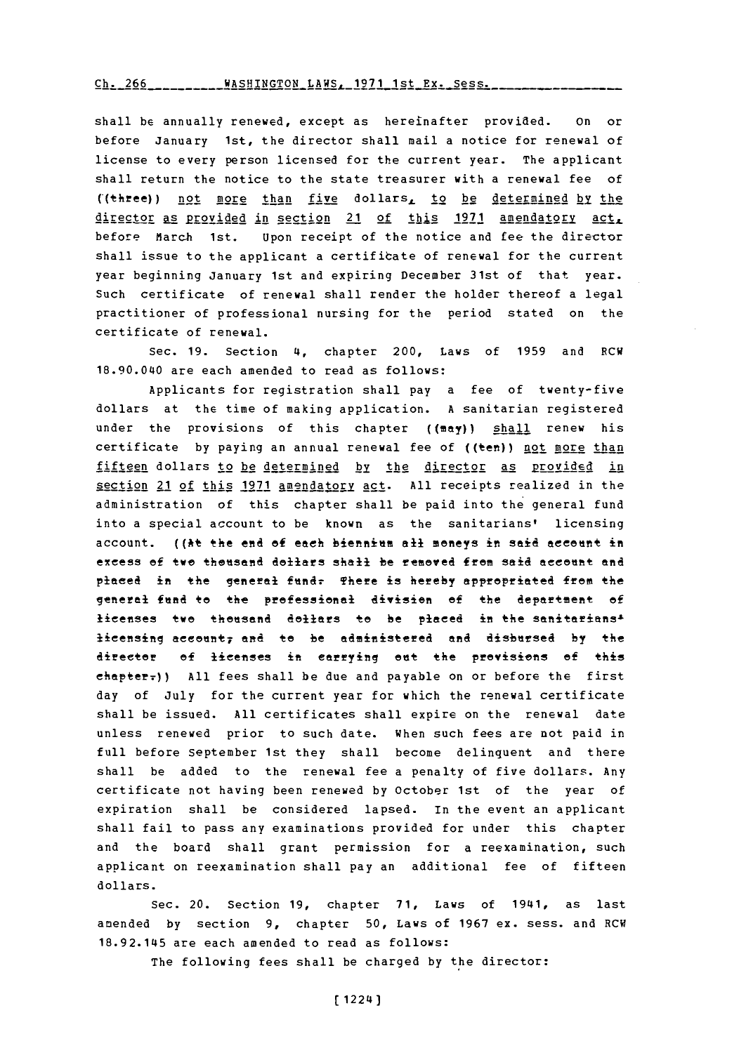## **-h. --------- t W . ~7 1 t Fy <sup>5</sup>** rh- 7rA WhqRTMrrP0M t.AWq- **1071** 1-qt P.Y\_ **qpq-,-**

shall be annually renewed, except as hereinafter provided. on or before January 1st, the director shall mail a notice for renewal of license to every person licensed for the current year. The applicant shall return the notice to the state treasurer with a renewal fee of ((three)) not more than five dollars, to be determined by the director as provided in section 21 of this 1971 amendatory act, before March 1st. Upon receipt of the notice and fee the director shall issue to the applicant a certificate of renewal for the current year beginning January 1st and expiring December 31st of that year. Such certificate of renewal shall render the holder thereof a legal practitioner of professional nursing for the period stated on the certificate of renewal.

Sec. **19.** Section 4, chapter 200, Laws of **1959** and RCW 18.90.040 are each amended to read as follows:

Applicants for registration shall pay a fee of twenty-five dollars at the time of making application. **A** sanitarian registered under the provisions of this chapter  $(\lbrace mxy \rbrace)$  shall renew his certificate by paying an annual renewal fee of ((ten)) not more than fifteen dollars to be determined by the director as provided in section 21 of this **1971** amendatory act. **All** receipts realized in the administration of this chapter shall be paid into the general fund into a special account to be known as the sanitarians' licensing account. ((At the end of each biennium all moneys in said account in excess of two thousand dollars shall be removed from said account and placed in the general fund<del>.</del> There is hereby appropriated from the general **find** to the professional aivisien of the department **of** licenses twe theusand dellars te be placed in the sanitarians<sup>1</sup> licensing account; and to be administered and disbursed by the dirctor ef licenses in carrying **eat** the previsions **ef** this chapter<sub>7</sub>)) All fees shall be due and payable on or before the first day of July for the current year for which the renewal certificate shall be issued. **All** certificates shall expire on the renewal date unless renewed prior to such date. When such fees are not paid in full before September 1st they shall become delinquent and there shall be added to the renewal fee a penalty of five dollars. Any certificate not having been renewed **by** October 1st of the year of expiration shall be considered lapsed. In the event an applicant shall fail to pass any examinations provided for under this chapter and the board shall grant permission for a reexamination, such applicant on reexamination shall pay an additional fee of fifteen dollars.

Sec. 20. Section **19,** chapter **71,** Laws of 1941, as last amended **by** section **9,** chapter **50,** Laws of **1967** ex. sess. and RCW **18.92.145** are each amended to read as follows:

The following fees shall be charged **by** the director: